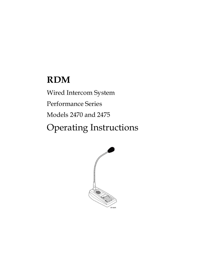# **RDM**

Wired Intercom System Performance Series Models 2470 and 2475 Operating Instructions

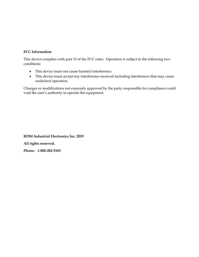### **FCC Information**

This device complies with part 15 of the FCC rules. Operation is subject to the following two conditions:

- This device must not cause harmful interference.
- This device must accept any interference received including interference that may cause undesired operation.

Changes or modifications not expressly approved by the party responsible for compliance could void the user's authority to operate the equipment.

**RDM Industrial Electronics Inc. 2019 All rights reserved. Phone: 1-800-282-5183**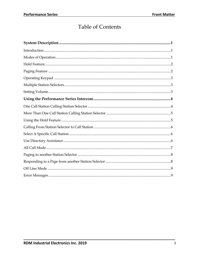# **Table of Contents**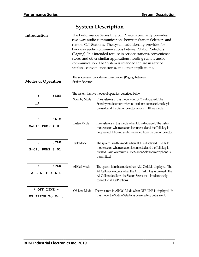# **System Description**

| Introduction                                   | The Performance Series Intercom System primarily provides<br>two-way audio communications between Station Selectors and<br>remote Call Stations. The system additionally provides for<br>two-way audio communications between Station Selectors<br>(Paging). It is intended for use in service stations, convenience<br>stores and other similar applications needing remote audio<br>communication. The System is intended for use in service<br>stations, convenience stores, and other applications. |                                                                                                                                                                                                                          |  |  |
|------------------------------------------------|---------------------------------------------------------------------------------------------------------------------------------------------------------------------------------------------------------------------------------------------------------------------------------------------------------------------------------------------------------------------------------------------------------------------------------------------------------------------------------------------------------|--------------------------------------------------------------------------------------------------------------------------------------------------------------------------------------------------------------------------|--|--|
| <b>Modes of Operation</b>                      | The system also provides communication (Paging) between<br><b>Station Selectors</b>                                                                                                                                                                                                                                                                                                                                                                                                                     |                                                                                                                                                                                                                          |  |  |
|                                                |                                                                                                                                                                                                                                                                                                                                                                                                                                                                                                         | The system has five modes of operation described below.                                                                                                                                                                  |  |  |
| $:$ SBY<br>$\ddot{\cdot}$<br>:                 | <b>Standby Mode</b>                                                                                                                                                                                                                                                                                                                                                                                                                                                                                     | The system is in this mode when SBY is displayed. The<br>Standby mode occurs when no station is connected, no key is<br>pressed, and the Station Selector is not in OffLine mode.                                        |  |  |
| :LIS<br>$\ddot{\cdot}$<br>$S = 01:$ PUMP # 01  | Listen Mode                                                                                                                                                                                                                                                                                                                                                                                                                                                                                             | The system is in this mode when LIS is displayed. The Listen<br>mode occurs when a station is connected and the Talk key is<br>not pressed. Inbound audio is emitted from the Station Selector.                          |  |  |
| :TLK<br>$\ddot{\cdot}$<br>$S = 01$ : PUMP # 01 | Talk Mode                                                                                                                                                                                                                                                                                                                                                                                                                                                                                               | The system is in this mode when TLK is displayed. The Talk<br>mode occurs when a station is connected and the Talk key is<br>pressed. Audio received at the Station Selector microphone is<br>transmitted.               |  |  |
| : TLK<br>$\ddot{\cdot}$<br>A L L<br>CALL       | All Call Mode                                                                                                                                                                                                                                                                                                                                                                                                                                                                                           | The system is in this mode when ALL CALL is displayed. The<br>All Call mode occurs when the ALL CALL key is pressed. The<br>All Call mode allows the Station Selector to simultaneously<br>connect to all Call Stations. |  |  |
| * OFF LINE *<br>UP ARROW To Exit               | Off Line Mode                                                                                                                                                                                                                                                                                                                                                                                                                                                                                           | The system is in All Call Mode when OFF LINE is displayed. In<br>this mode, the Station Selector is powered on, but is silent.                                                                                           |  |  |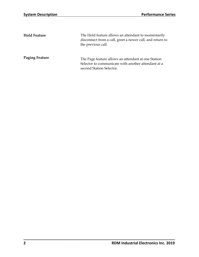| <b>Hold Feature</b>   | The Hold feature allows an attendant to momentarily<br>disconnect from a call, greet a newer call, and return to<br>the previous call. |
|-----------------------|----------------------------------------------------------------------------------------------------------------------------------------|
| <b>Paging Feature</b> | The Page feature allows an attendant at one Station<br>Selector to communicate with another attendant at a<br>second Station Selector. |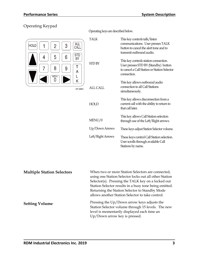# Operating Keypad



Operating keys are described below.

| <b>ALL</b><br>CALL<br><b>STD</b> | <b>TALK</b>       | This key controls talk/listen<br>communications. User presses TALK<br>button to cancel the alert tone and to<br>transmit outbound audio.     |
|----------------------------------|-------------------|----------------------------------------------------------------------------------------------------------------------------------------------|
| BY<br>Τ<br>A                     | <b>STD BY</b>     | This key controls station connection.<br>User presses STD BY (Standby) button<br>to cancel a Call Station or Station Selector<br>connection. |
| Κ<br><b>SP-389C</b>              | ALL CALL          | This key allows outbound audio<br>connection to all Call Stations<br>simultaneously.                                                         |
|                                  | <b>HOLD</b>       | This key allows disconnection from a<br>current call with the ability to return to<br>that call later.                                       |
|                                  | MENU/0            | This key allows Call Station selection<br>through use of the Left/Right arrows.                                                              |
|                                  | Up/Down Arrows    | These keys adjust Station Selector volume.                                                                                                   |
|                                  | Left/Right Arrows | These keys control Call Station selection.<br>User scrolls through available Call<br>Stations by name.                                       |

| <b>Multiple Station Selectors</b> | When two or more Station Selectors are connected,      |
|-----------------------------------|--------------------------------------------------------|
|                                   | using one Station Selector locks out all other Station |
|                                   | Selector(s). Pressing the TALK key on a locked out     |
|                                   | Station Selector results in a busy tone being emitted. |
|                                   | Returning the Station Selector to Standby Mode         |
|                                   | allows another Station Selector to take control.       |
| <b>Setting Volume</b>             | Pressing the Up/Down arrow keys adjusts the            |
|                                   | Station Selector volume through 15 levels. The new     |
|                                   | level is momentarily displayed each time an            |
|                                   | Up/Down arrow key is pressed.                          |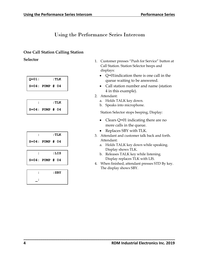# Using the Performance Series Intercom

# **One Call Station Calling Station**

| $Q = 01:$            |  | : TLK |  |
|----------------------|--|-------|--|
| $S = 04$ : PUMP # 04 |  |       |  |





- **Selector** 1. Customer presses "Push for Service" button at Call Station. Station Selector beeps and displays:
	- Q=01indication there is one call in the queue waiting to be answered.
	- Call station number and name (station 4 in this example).
	- 2. Attendant:

**\_\_\_\_\_\_\_\_\_\_\_\_\_\_\_\_\_\_\_\_\_\_\_\_\_\_\_\_\_\_\_\_\_\_\_\_\_\_\_\_\_\_\_\_\_\_\_\_\_\_\_\_\_\_\_\_\_\_\_\_\_\_\_\_\_\_\_\_\_\_\_\_**

- a. Holds TALK key down.
- b. Speaks into microphone.

Station Selector stops beeping, Display:

- Clears Q=01 indicating there are no more calls in the queue.
- Replaces SBY with TLK.
- 3. Attendant and customer talk back and forth. Attendant:
	- a. Holds TALK key down while speaking. Display shows TLK.
	- b. Releases TALK key while listening. Display replaces TLK with LIS.
- 4. When finished, attendant presses STD By key. The display shows SBY.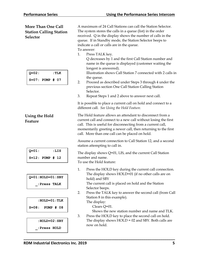| <b>More Than One Call</b><br><b>Station Calling Station</b><br><b>Selector</b><br>$Q = 02:$<br>: TLK<br>$S=07:$ PUMP # 07 | A maximum of 24 Call Stations can call the Station Selector.<br>The system stores the calls in a queue (list) in the order<br>received. Q in the display shows the number of calls in the<br>queue. If in Standby mode, the Station Selector beeps to<br>indicate a call or calls are in the queue.<br>To answer:<br>Press TALK key.<br>1.<br>Q decreases by 1 and the first Call Station number and<br>name in the queue is displayed (customer waiting the<br>longest is answered).<br>Illustration shows Call Station 7 connected with 2 calls in<br>the queue.<br>2.<br>Proceed as described under Steps 3 through 4 under the<br>previous section One Call Station Calling Station<br>Selector.<br>Repeat Steps 1 and 2 above to answer next call.<br>3. |
|---------------------------------------------------------------------------------------------------------------------------|---------------------------------------------------------------------------------------------------------------------------------------------------------------------------------------------------------------------------------------------------------------------------------------------------------------------------------------------------------------------------------------------------------------------------------------------------------------------------------------------------------------------------------------------------------------------------------------------------------------------------------------------------------------------------------------------------------------------------------------------------------------|
| <b>Using the Hold</b><br>Feature                                                                                          | It is possible to place a current call on hold and connect to a<br>different call. See Using the Hold Feature.<br>The Hold feature allows an attendant to disconnect from a<br>current call and connect to a new call without losing the first<br>call. This is useful for disconnecting from a current call,<br>momentarily greeting a newer call, then returning to the first<br>call. More than one call can be placed on hold.                                                                                                                                                                                                                                                                                                                            |
| $Q = 01$ :<br>:LIS<br>$S = 12:$ PUMP # 12                                                                                 | Assume a current connection to Call Station 12, and a second<br>station attempting to call in.<br>The display shows Q=01, LIS, and the current Call Station<br>number and name.<br>To use the Hold feature:                                                                                                                                                                                                                                                                                                                                                                                                                                                                                                                                                   |
| $Q=01$ : $HOLD=01$ : SBY<br>:Press TALK                                                                                   | 1.<br>Press the HOLD key during the current call connection.<br>The display shows HOLD=01 (if no other calls are on<br>hold) and SBY<br>The current call is placed on hold and the Station<br>Selector beeps.<br>Press the TALK key to answer the second call (from Call<br>2.                                                                                                                                                                                                                                                                                                                                                                                                                                                                                |
| $:$ HOLD=01 $:$ TLK<br>$S = 08:$<br><b>PUMP # 08</b><br>$:$ HOLD=02 $:$ SBY<br>:Press HOLD                                | Station 8 in this example).<br>The display:<br>Clears Q=01.<br>Shows the new station number and name and TLK.<br>Press the HOLD key to place the second call on hold.<br>3.<br>The display shows $HOLD = 02$ and SBY. Both calls are<br>now on hold.                                                                                                                                                                                                                                                                                                                                                                                                                                                                                                          |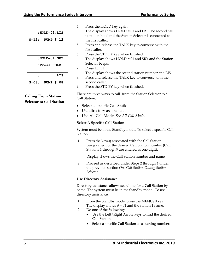|         | $:$ HOLD=01 $:$ LIS |  |  |
|---------|---------------------|--|--|
| $S=12:$ | PUMP # 12           |  |  |

|           | $:$ HOLD=01 $:$ SBY |
|-----------|---------------------|
|           | :Press HOLD         |
|           | :LIS                |
| $S = 08:$ | PUMP # 08           |

# **Calling From Station Selector to Call Station**

4. Press the HOLD key again.

The display shows HOLD = 01 and LIS. The second call is still on hold and the Station Selector is connected to the first caller.

- 5. Press and release the TALK key to converse with the first caller.
- 6. Press the STD BY key when finished. The display shows HOLD = 01 and SBY and the Station Selector beeps.
- 7. Press HOLD. The display shows the second station number and LIS.
- 8. Press and release the TALK key to converse with the second caller.
- 9. Press the STD BY key when finished.

There are three ways to call from the Station Selector to a Call Station:

- Select a specific Call Station.
- Use directory assistance.
- Use All Call Mode. *See All Call Mode*.

### **Select A Specific Call Station**

System must be in the Standby mode. To select a specific Call Station:

1. Press the key(s) associated with the Call Station being called for the desired Call Station number (Call Stations 1 through 9 are entered as one digit).

Display shows the Call Station number and name.

*2.* Proceed as described under Steps 2 through 4 under the previous section *One Call Station Calling Station Selector.*

### **Use Directory Assistance**

Directory assistance allows searching for a Call Station by name. The system must be in the Standby mode. To use directory assistance:

- 1. From the Standby mode, press the MENU/0 key. The display shows  $S = 01$  and the station 1 name.
- 2. Do one of the following:

- Use the Left/Right Arrow keys to find the desired Call Station
- Select a specific Call Station as a starting number: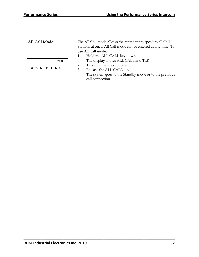**: :TLK A L L C A L L**

**All Call Mode** The All Call mode allows the attendant to speak to all Call Stations at once. All Call mode can be entered at any time. To use All Call mode:

- 1. Hold the ALL CALL key down. The display shows ALL CALL and TLK.
- 2. Talk into the microphone.

**\_\_\_\_\_\_\_\_\_\_\_\_\_\_\_\_\_\_\_\_\_\_\_\_\_\_\_\_\_\_\_\_\_\_\_\_\_\_\_\_\_\_\_\_\_\_\_\_\_\_\_\_\_\_\_\_\_\_\_\_\_\_\_\_\_\_\_\_\_\_\_\_**

3. Release the ALL CALL key. The system goes to the Standby mode or to the previous call connection.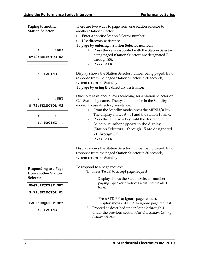**Paging to another Station Selector**

|                    | : SBY      |
|--------------------|------------|
|                    |            |
| $S=72:SELECTOR$ 02 |            |
|                    |            |
|                    |            |
|                    | $:$ PAGING |

|                    | : SBY      |
|--------------------|------------|
| $S=72:SELECTOR$ 02 |            |
|                    |            |
|                    | $:$ PAGING |

There are two ways to page from one Station Selector to another Station Selector:

- Enter a specific Station Selector number.
- Use directory assistance.

**To page by entering a Station Selector number:**

- 1. Press the keys associated with the Station Selector being paged (Station Selectors are designated 71 through 85).
- 2. Press TALK

Display shows the Station Selector number being paged. If no response from the paged Station Selector in 30 seconds, system returns to Standby.

**To page by using the directory assistance:**

Directory assistance allows searching for a Station Selector or Call Station by name. The system must be in the Standby mode. To use directory assistance:

- 1. From the Standby mode, press the MENU/0 key. The display shows  $S = 01$  and the station 1 name.
- 2. Press the left arrow key until the desired Station Selector number appears in the display (Station Selectors 1 through 15 are designated 71 through 85).
- 3. Press TALK

Display shows the Station Selector number being paged. If no response from the paged Station Selector in 30 seconds, system returns to Standby.

To respond to a page request:

**\_\_\_\_\_\_\_\_\_\_\_\_\_\_\_\_\_\_\_\_\_\_\_\_\_\_\_\_\_\_\_\_\_\_\_\_\_\_\_\_\_\_\_\_\_\_\_\_\_\_\_\_\_\_\_\_\_\_\_\_\_\_\_\_\_\_\_\_\_\_\_\_**

1. Press TALK to accept page request

 Display shows the Station Selector number paging. Speaker produces a distinctive alert tone.

or

 Press STD BY to ignore page request. Display shows STD BY to ignore page request

2. Proceed as described under Steps 2 through 4 under the previous section *One Call Station Calling Station Selector.*

**Responding to a Page from another Station Selector**

**PAGE:REQUEST:SBY**

**S=71:SELECTOR 01**

**PAGE:REQUEST:SBY**

 **:..PAGING...**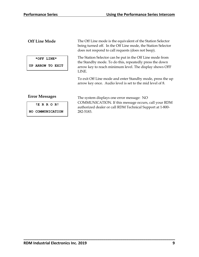## **Off Line Mode**

 **\*OFF LINE\***

**UP ARROW TO EXIT**

The Off Line mode is the equivalent of the Station Selector being turned off. In the Off Line mode, the Station Selector does not respond to call requests (does not beep).

The Station Selector can be put in the Off Line mode from the Standby mode. To do this, repeatedly press the down arrow key to reach minimum level. The display shows OFF LINE.

To exit Off Line mode and enter Standby mode, press the up arrow key once. Audio level is set to the mid level of 8.

### **Error Messages**

| ERROR! |  |  |  |  |  |  |  |
|--------|--|--|--|--|--|--|--|
|--------|--|--|--|--|--|--|--|

**NO COMMUNICATION**

The system displays one error message: NO COMMUNICATION. If this message occurs, call your RDM authorized dealer or call RDM Technical Support at 1-800- 282-5183.